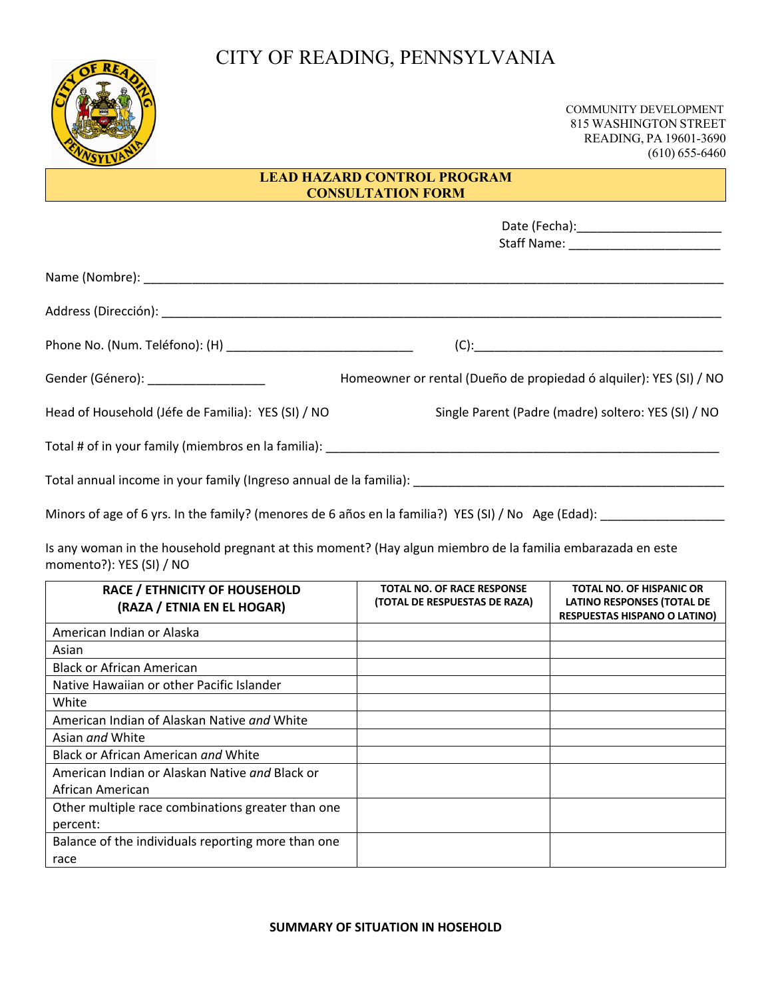## CITY OF READING, PENNSYLVANIA



 COMMUNITY DEVELOPMENT 815 WASHINGTON STREET READING, PA 19601-3690 (610) 655-6460

## **LEAD HAZARD CONTROL PROGRAM CONSULTATION FORM**

| Gender (Género): _____________________                                                                | Homeowner or rental (Dueño de propiedad ó alquiler): YES (SI) / NO |
|-------------------------------------------------------------------------------------------------------|--------------------------------------------------------------------|
| Head of Household (Jéfe de Familia): YES (SI) / NO                                                    | Single Parent (Padre (madre) soltero: YES (SI) / NO                |
|                                                                                                       |                                                                    |
|                                                                                                       |                                                                    |
| Minors of age of 6 yrs. In the family? (menores de 6 años en la familia?) YES (SI) / No Age (Edad): _ |                                                                    |

Is any woman in the household pregnant at this moment? (Hay algun miembro de la familia embarazada en este momento?): YES (SI) / NO

| RACE / ETHNICITY OF HOUSEHOLD<br>(RAZA / ETNIA EN EL HOGAR) | <b>TOTAL NO. OF RACE RESPONSE</b><br>(TOTAL DE RESPUESTAS DE RAZA) | <b>TOTAL NO. OF HISPANIC OR</b><br><b>LATINO RESPONSES (TOTAL DE</b><br><b>RESPUESTAS HISPANO O LATINO)</b> |
|-------------------------------------------------------------|--------------------------------------------------------------------|-------------------------------------------------------------------------------------------------------------|
| American Indian or Alaska                                   |                                                                    |                                                                                                             |
| Asian                                                       |                                                                    |                                                                                                             |
| <b>Black or African American</b>                            |                                                                    |                                                                                                             |
| Native Hawaiian or other Pacific Islander                   |                                                                    |                                                                                                             |
| White                                                       |                                                                    |                                                                                                             |
| American Indian of Alaskan Native and White                 |                                                                    |                                                                                                             |
| Asian <i>and</i> White                                      |                                                                    |                                                                                                             |
| Black or African American and White                         |                                                                    |                                                                                                             |
| American Indian or Alaskan Native and Black or              |                                                                    |                                                                                                             |
| African American                                            |                                                                    |                                                                                                             |
| Other multiple race combinations greater than one           |                                                                    |                                                                                                             |
| percent:                                                    |                                                                    |                                                                                                             |
| Balance of the individuals reporting more than one          |                                                                    |                                                                                                             |
| race                                                        |                                                                    |                                                                                                             |